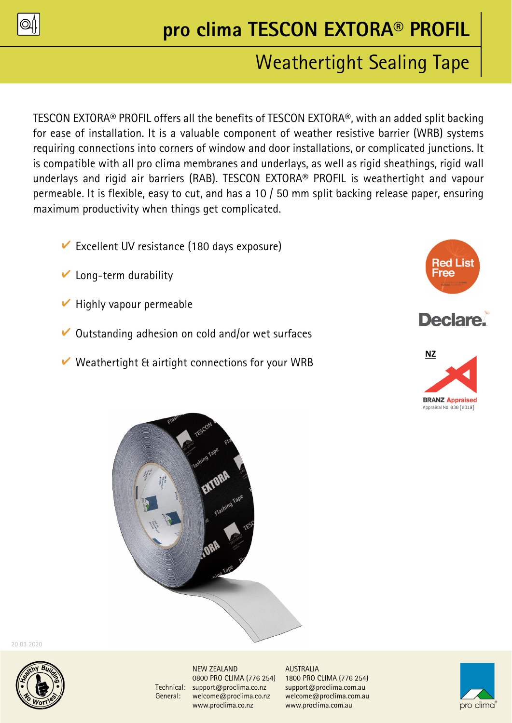

# **pro clima TESCON EXTORA® PROFIL**

## Weathertight Sealing Tape

TESCON EXTORA® PROFIL offers all the benefits of TESCON EXTORA®, with an added split backing for ease of installation. It is a valuable component of weather resistive barrier (WRB) systems requiring connections into corners of window and door installations, or complicated junctions. It is compatible with all pro clima membranes and underlays, as well as rigid sheathings, rigid wall underlays and rigid air barriers (RAB). TESCON EXTORA® PROFIL is weathertight and vapour permeable. It is flexible, easy to cut, and has a 10 / 50 mm split backing release paper, ensuring maximum productivity when things get complicated.

- $\triangleright$  Excellent UV resistance (180 days exposure)
- $\triangleright$  Long-term durability
- $\vee$  Highly vapour permeable
- $\vee$  Outstanding adhesion on cold and/or wet surfaces
- $\vee$  Weathertight & airtight connections for your WRB







20 03 2020



NEW ZEALAND AUSTRALIA Technical: support@proclima.co.nz support@proclima.com.au General: welcome@proclima.co.nz welcome@proclima.com.au www.proclima.co.nz www.proclima.com.au

0800 PRO CLIMA (776 254) 1800 PRO CLIMA (776 254)